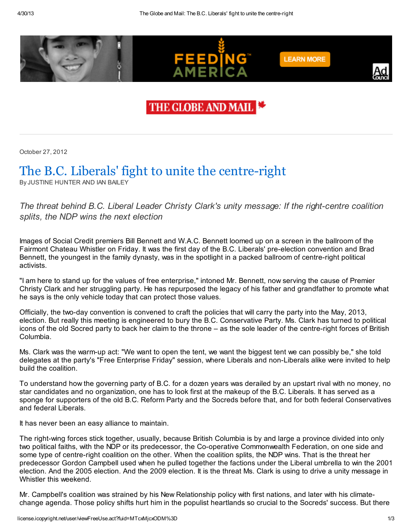

## THE GLOBE AND MAIL

October 27, 2012

## The B.C. Liberals' fight to unite the centre-right

By JUSTINE HUNTER AND IAN BAILEY

The threat behind B.C. Liberal Leader Christy Clark's unity message: If the right-centre coalition splits, the NDP wins the next election

Images of Social Credit premiers Bill Bennett and W.A.C. Bennett loomed up on a screen in the ballroom of the Fairmont Chateau Whistler on Friday. It was the first day of the B.C. Liberals' pre-election convention and Brad Bennett, the youngest in the family dynasty, was in the spotlight in a packed ballroom of centre-right political activists.

"I am here to stand up for the values of free enterprise," intoned Mr. Bennett, now serving the cause of Premier Christy Clark and her struggling party. He has repurposed the legacy of his father and grandfather to promote what he says is the only vehicle today that can protect those values.

Officially, the two-day convention is convened to craft the policies that will carry the party into the May, 2013, election. But really this meeting is engineered to bury the B.C. Conservative Party. Ms. Clark has turned to political icons of the old Socred party to back her claim to the throne – as the sole leader of the centre-right forces of British Columbia.

Ms. Clark was the warm-up act: "We want to open the tent, we want the biggest tent we can possibly be," she told delegates at the party's "Free Enterprise Friday" session, where Liberals and non-Liberals alike were invited to help build the coalition.

To understand how the governing party of B.C. for a dozen years was derailed by an upstart rival with no money, no star candidates and no organization, one has to look first at the makeup of the B.C. Liberals. It has served as a sponge for supporters of the old B.C. Reform Party and the Socreds before that, and for both federal Conservatives and federal Liberals.

It has never been an easy alliance to maintain.

The right-wing forces stick together, usually, because British Columbia is by and large a province divided into only two political faiths, with the NDP or its predecessor, the Co-operative Commonwealth Federation, on one side and some type of centre-right coalition on the other. When the coalition splits, the NDP wins. That is the threat her predecessor Gordon Campbell used when he pulled together the factions under the Liberal umbrella to win the 2001 election. And the 2005 election. And the 2009 election. It is the threat Ms. Clark is using to drive a unity message in Whistler this weekend.

Mr. Campbell's coalition was strained by his New Relationship policy with first nations, and later with his climatechange agenda. Those policy shifts hurt him in the populist heartlands so crucial to the Socreds' success. But there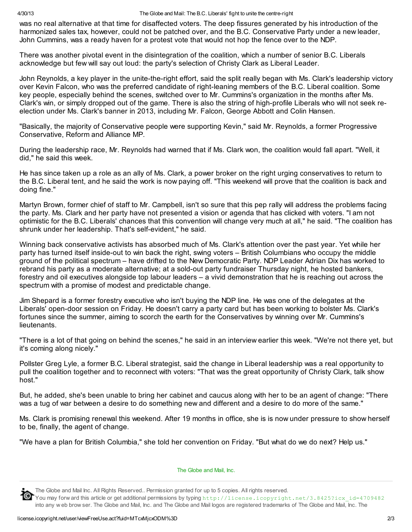was no real alternative at that time for disaffected voters. The deep fissures generated by his introduction of the harmonized sales tax, however, could not be patched over, and the B.C. Conservative Party under a new leader, John Cummins, was a ready haven for a protest vote that would not hop the fence over to the NDP.

There was another pivotal event in the disintegration of the coalition, which a number of senior B.C. Liberals acknowledge but few will say out loud: the party's selection of Christy Clark as Liberal Leader.

John Reynolds, a key player in the unite-the-right effort, said the split really began with Ms. Clark's leadership victory over Kevin Falcon, who was the preferred candidate of right-leaning members of the B.C. Liberal coalition. Some key people, especially behind the scenes, switched over to Mr. Cummins's organization in the months after Ms. Clark's win, or simply dropped out of the game. There is also the string of high-profile Liberals who will not seek reelection under Ms. Clark's banner in 2013, including Mr. Falcon, George Abbott and Colin Hansen.

"Basically, the majority of Conservative people were supporting Kevin," said Mr. Reynolds, a former Progressive Conservative, Reform and Alliance MP.

During the leadership race, Mr. Reynolds had warned that if Ms. Clark won, the coalition would fall apart. "Well, it did," he said this week.

He has since taken up a role as an ally of Ms. Clark, a power broker on the right urging conservatives to return to the B.C. Liberal tent, and he said the work is now paying off. "This weekend will prove that the coalition is back and doing fine."

Martyn Brown, former chief of staff to Mr. Campbell, isn't so sure that this pep rally will address the problems facing the party. Ms. Clark and her party have not presented a vision or agenda that has clicked with voters. "I am not optimistic for the B.C. Liberals' chances that this convention will change very much at all," he said. "The coalition has shrunk under her leadership. That's self-evident," he said.

Winning back conservative activists has absorbed much of Ms. Clark's attention over the past year. Yet while her party has turned itself inside-out to win back the right, swing voters – British Columbians who occupy the middle ground of the political spectrum – have drifted to the New Democratic Party. NDP Leader Adrian Dix has worked to rebrand his party as a moderate alternative; at a sold-out party fundraiser Thursday night, he hosted bankers, forestry and oil executives alongside top labour leaders – a vivid demonstration that he is reaching out across the spectrum with a promise of modest and predictable change.

Jim Shepard is a former forestry executive who isn't buying the NDP line. He was one of the delegates at the Liberals' open-door session on Friday. He doesn't carry a party card but has been working to bolster Ms. Clark's fortunes since the summer, aiming to scorch the earth for the Conservatives by winning over Mr. Cummins's **lieutenants** 

"There is a lot of that going on behind the scenes," he said in an interview earlier this week. "We're not there yet, but it's coming along nicely."

Pollster Greg Lyle, a former B.C. Liberal strategist, said the change in Liberal leadership was a real opportunity to pull the coalition together and to reconnect with voters: "That was the great opportunity of Christy Clark, talk show host"

But, he added, she's been unable to bring her cabinet and caucus along with her to be an agent of change: "There was a tug of war between a desire to do something new and different and a desire to do more of the same."

Ms. Clark is promising renewal this weekend. After 19 months in office, she is is now under pressure to show herself to be, finally, the agent of change.

"We have a plan for British Columbia," she told her convention on Friday. "But what do we do next? Help us."



The [Globe](http://license.icopyright.net/user/external.act?publisher_id=1203) and Mail, Inc.

The Globe and Mail Inc. All Rights Reserved.. Permission granted for up to 5 copies. All rights reserved.

You may forw ard this article or get additional permissions by typing http://license.icopyright.net/3.8425?icx\_id=4709482 into any w eb brow ser. The Globe and Mail, Inc. and The Globe and Mail logos are registered trademarks of The Globe and Mail, Inc. The